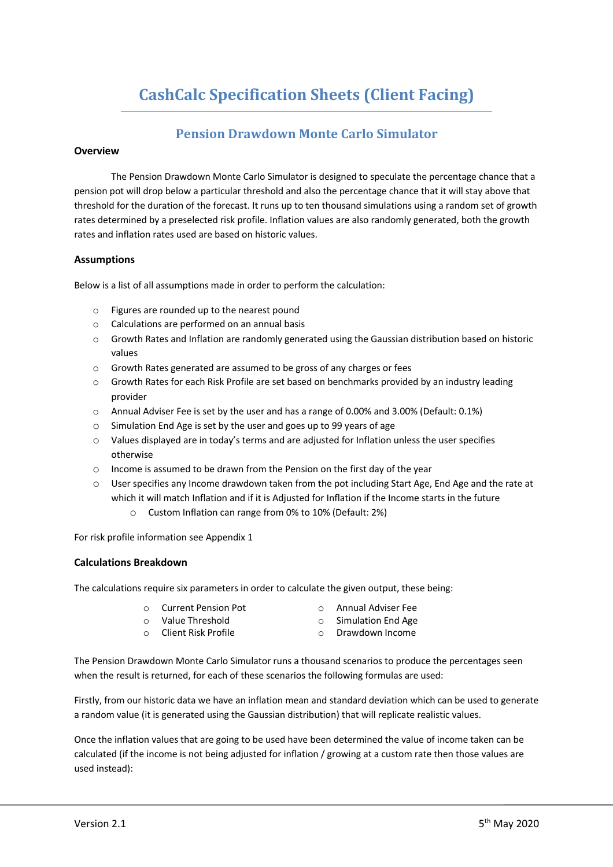# **CashCalc Specification Sheets (Client Facing)**

### **Pension Drawdown Monte Carlo Simulator**

#### **Overview**

The Pension Drawdown Monte Carlo Simulator is designed to speculate the percentage chance that a pension pot will drop below a particular threshold and also the percentage chance that it will stay above that threshold for the duration of the forecast. It runs up to ten thousand simulations using a random set of growth rates determined by a preselected risk profile. Inflation values are also randomly generated, both the growth rates and inflation rates used are based on historic values.

#### **Assumptions**

Below is a list of all assumptions made in order to perform the calculation:

- o Figures are rounded up to the nearest pound
- o Calculations are performed on an annual basis
- o Growth Rates and Inflation are randomly generated using the Gaussian distribution based on historic values
- o Growth Rates generated are assumed to be gross of any charges or fees
- $\circ$  Growth Rates for each Risk Profile are set based on benchmarks provided by an industry leading provider
- o Annual Adviser Fee is set by the user and has a range of 0.00% and 3.00% (Default: 0.1%)
- o Simulation End Age is set by the user and goes up to 99 years of age
- o Values displayed are in today's terms and are adjusted for Inflation unless the user specifies otherwise
- o Income is assumed to be drawn from the Pension on the first day of the year
- o User specifies any Income drawdown taken from the pot including Start Age, End Age and the rate at which it will match Inflation and if it is Adjusted for Inflation if the Income starts in the future
	- o Custom Inflation can range from 0% to 10% (Default: 2%)

For risk profile information see Appendix 1

#### **Calculations Breakdown**

The calculations require six parameters in order to calculate the given output, these being:

- o Current Pension Pot
- o Annual Adviser Fee
- o Simulation End Age
- o Value Threshold o Client Risk Profile
- o Drawdown Income

The Pension Drawdown Monte Carlo Simulator runs a thousand scenarios to produce the percentages seen when the result is returned, for each of these scenarios the following formulas are used:

Firstly, from our historic data we have an inflation mean and standard deviation which can be used to generate a random value (it is generated using the Gaussian distribution) that will replicate realistic values.

Once the inflation values that are going to be used have been determined the value of income taken can be calculated (if the income is not being adjusted for inflation / growing at a custom rate then those values are used instead):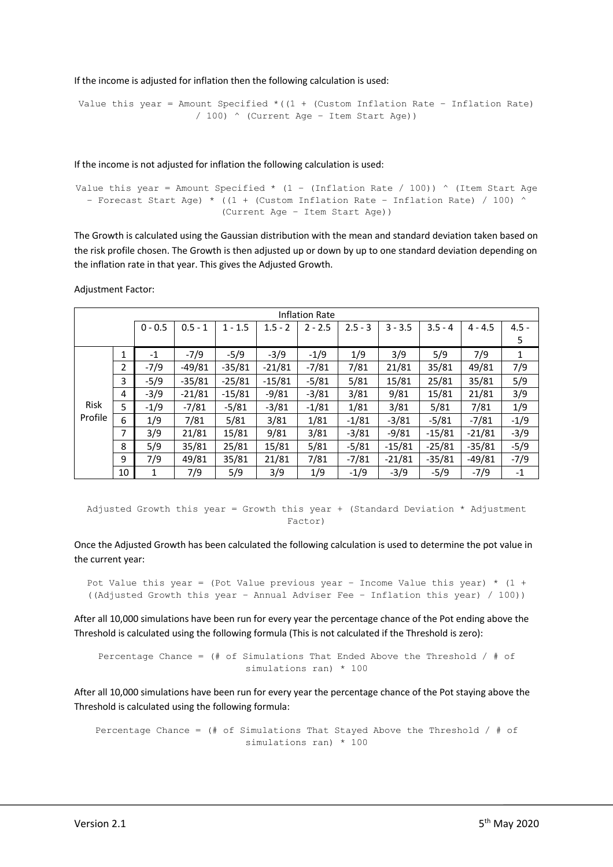If the income is adjusted for inflation then the following calculation is used:

```
Value this year = Amount Specified *(1 + (Custom Inflation Rate – Inflation Rate)
                   / 100) ^ (Current Age – Item Start Age))
```
If the income is not adjusted for inflation the following calculation is used:

```
Value this year = Amount Specified * (1 - (Inflation Rate / 100)) * (Item Start Age
- Forecast Start Age) * ((1 + (Custom Inflation Rate - Inflation Rate) / 100) ^
                        (Current Age – Item Start Age))
```
The Growth is calculated using the Gaussian distribution with the mean and standard deviation taken based on the risk profile chosen. The Growth is then adjusted up or down by up to one standard deviation depending on the inflation rate in that year. This gives the Adjusted Growth.

Adjustment Factor:

|                 |                |           |           |           |           | <b>Inflation Rate</b> |           |           |           |           |         |
|-----------------|----------------|-----------|-----------|-----------|-----------|-----------------------|-----------|-----------|-----------|-----------|---------|
|                 |                | $0 - 0.5$ | $0.5 - 1$ | $1 - 1.5$ | $1.5 - 2$ | $2 - 2.5$             | $2.5 - 3$ | $3 - 3.5$ | $3.5 - 4$ | $4 - 4.5$ | $4.5 -$ |
|                 |                |           |           |           |           |                       |           |           |           |           | 5       |
| Risk<br>Profile | 1              | -1        | $-7/9$    | $-5/9$    | $-3/9$    | $-1/9$                | 1/9       | 3/9       | 5/9       | 7/9       | 1       |
|                 | $\overline{2}$ | $-7/9$    | $-49/81$  | $-35/81$  | $-21/81$  | $-7/81$               | 7/81      | 21/81     | 35/81     | 49/81     | 7/9     |
|                 | 3              | $-5/9$    | $-35/81$  | $-25/81$  | $-15/81$  | $-5/81$               | 5/81      | 15/81     | 25/81     | 35/81     | 5/9     |
|                 | 4              | $-3/9$    | $-21/81$  | $-15/81$  | $-9/81$   | $-3/81$               | 3/81      | 9/81      | 15/81     | 21/81     | 3/9     |
|                 | 5              | $-1/9$    | $-7/81$   | $-5/81$   | $-3/81$   | $-1/81$               | 1/81      | 3/81      | 5/81      | 7/81      | 1/9     |
|                 | 6              | 1/9       | 7/81      | 5/81      | 3/81      | 1/81                  | $-1/81$   | $-3/81$   | $-5/81$   | -7/81     | $-1/9$  |
|                 | 7              | 3/9       | 21/81     | 15/81     | 9/81      | 3/81                  | $-3/81$   | $-9/81$   | $-15/81$  | $-21/81$  | $-3/9$  |
|                 | 8              | 5/9       | 35/81     | 25/81     | 15/81     | 5/81                  | $-5/81$   | $-15/81$  | $-25/81$  | $-35/81$  | $-5/9$  |
|                 | 9              | 7/9       | 49/81     | 35/81     | 21/81     | 7/81                  | $-7/81$   | $-21/81$  | $-35/81$  | $-49/81$  | $-7/9$  |
|                 | 10             | 1         | 7/9       | 5/9       | 3/9       | 1/9                   | $-1/9$    | $-3/9$    | $-5/9$    | $-7/9$    | $-1$    |

Adjusted Growth this year = Growth this year + (Standard Deviation  $*$  Adjustment Factor)

Once the Adjusted Growth has been calculated the following calculation is used to determine the pot value in the current year:

Pot Value this year = (Pot Value previous year - Income Value this year)  $*$  (1 + ((Adjusted Growth this year – Annual Adviser Fee – Inflation this year) / 100))

After all 10,000 simulations have been run for every year the percentage chance of the Pot ending above the Threshold is calculated using the following formula (This is not calculated if the Threshold is zero):

Percentage Chance = (# of Simulations That Ended Above the Threshold / # of simulations ran) \* 100

After all 10,000 simulations have been run for every year the percentage chance of the Pot staying above the Threshold is calculated using the following formula:

Percentage Chance = (# of Simulations That Stayed Above the Threshold / # of simulations ran) \* 100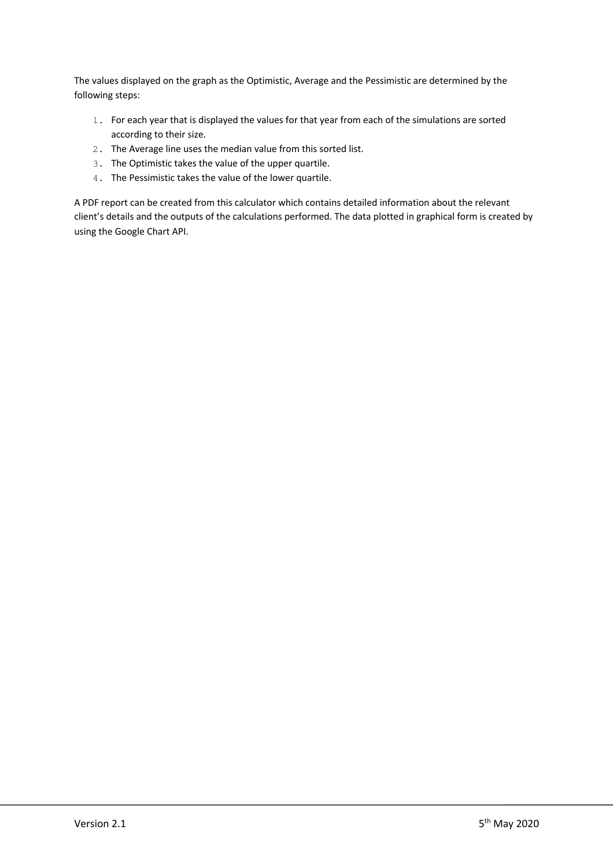The values displayed on the graph as the Optimistic, Average and the Pessimistic are determined by the following steps:

- 1. For each year that is displayed the values for that year from each of the simulations are sorted according to their size.
- 2. The Average line uses the median value from this sorted list.
- 3. The Optimistic takes the value of the upper quartile.
- 4. The Pessimistic takes the value of the lower quartile.

A PDF report can be created from this calculator which contains detailed information about the relevant client's details and the outputs of the calculations performed. The data plotted in graphical form is created by using the Google Chart API.